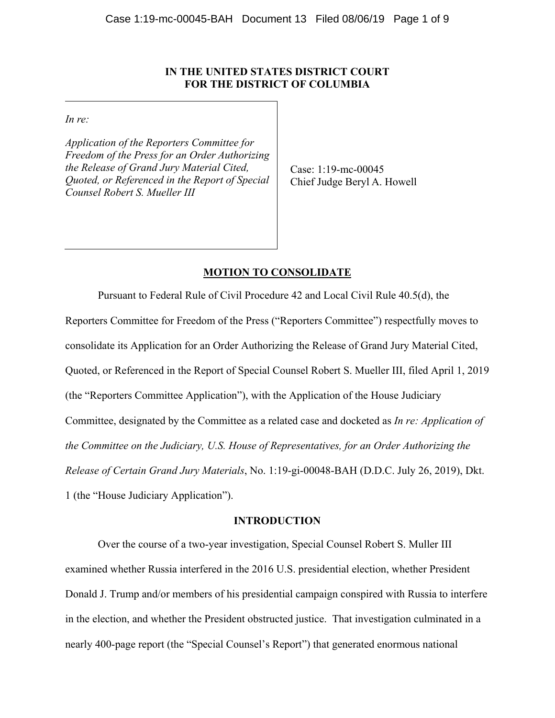# **IN THE UNITED STATES DISTRICT COURT FOR THE DISTRICT OF COLUMBIA**

*In re:* 

*Application of the Reporters Committee for Freedom of the Press for an Order Authorizing the Release of Grand Jury Material Cited, Quoted, or Referenced in the Report of Special Counsel Robert S. Mueller III*

Case: 1:19-mc-00045 Chief Judge Beryl A. Howell

# **MOTION TO CONSOLIDATE**

 Pursuant to Federal Rule of Civil Procedure 42 and Local Civil Rule 40.5(d), the Reporters Committee for Freedom of the Press ("Reporters Committee") respectfully moves to consolidate its Application for an Order Authorizing the Release of Grand Jury Material Cited, Quoted, or Referenced in the Report of Special Counsel Robert S. Mueller III, filed April 1, 2019 (the "Reporters Committee Application"), with the Application of the House Judiciary Committee, designated by the Committee as a related case and docketed as *In re: Application of the Committee on the Judiciary, U.S. House of Representatives, for an Order Authorizing the Release of Certain Grand Jury Materials*, No. 1:19-gi-00048-BAH (D.D.C. July 26, 2019), Dkt. 1 (the "House Judiciary Application").

## **INTRODUCTION**

Over the course of a two-year investigation, Special Counsel Robert S. Muller III examined whether Russia interfered in the 2016 U.S. presidential election, whether President Donald J. Trump and/or members of his presidential campaign conspired with Russia to interfere in the election, and whether the President obstructed justice. That investigation culminated in a nearly 400-page report (the "Special Counsel's Report") that generated enormous national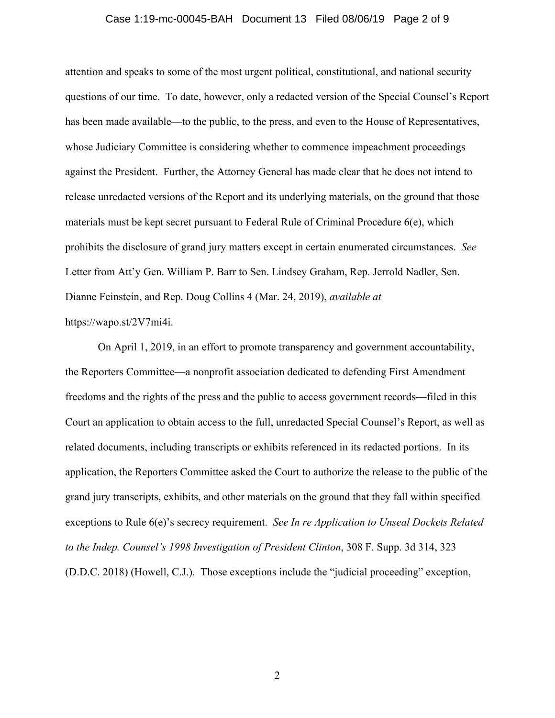## Case 1:19-mc-00045-BAH Document 13 Filed 08/06/19 Page 2 of 9

attention and speaks to some of the most urgent political, constitutional, and national security questions of our time. To date, however, only a redacted version of the Special Counsel's Report has been made available—to the public, to the press, and even to the House of Representatives, whose Judiciary Committee is considering whether to commence impeachment proceedings against the President. Further, the Attorney General has made clear that he does not intend to release unredacted versions of the Report and its underlying materials, on the ground that those materials must be kept secret pursuant to Federal Rule of Criminal Procedure 6(e), which prohibits the disclosure of grand jury matters except in certain enumerated circumstances. *See*  Letter from Att'y Gen. William P. Barr to Sen. Lindsey Graham, Rep. Jerrold Nadler, Sen. Dianne Feinstein, and Rep. Doug Collins 4 (Mar. 24, 2019), *available at*  https://wapo.st/2V7mi4i.

On April 1, 2019, in an effort to promote transparency and government accountability, the Reporters Committee—a nonprofit association dedicated to defending First Amendment freedoms and the rights of the press and the public to access government records—filed in this Court an application to obtain access to the full, unredacted Special Counsel's Report, as well as related documents, including transcripts or exhibits referenced in its redacted portions. In its application, the Reporters Committee asked the Court to authorize the release to the public of the grand jury transcripts, exhibits, and other materials on the ground that they fall within specified exceptions to Rule 6(e)'s secrecy requirement. *See In re Application to Unseal Dockets Related to the Indep. Counsel's 1998 Investigation of President Clinton*, 308 F. Supp. 3d 314, 323 (D.D.C. 2018) (Howell, C.J.). Those exceptions include the "judicial proceeding" exception,

2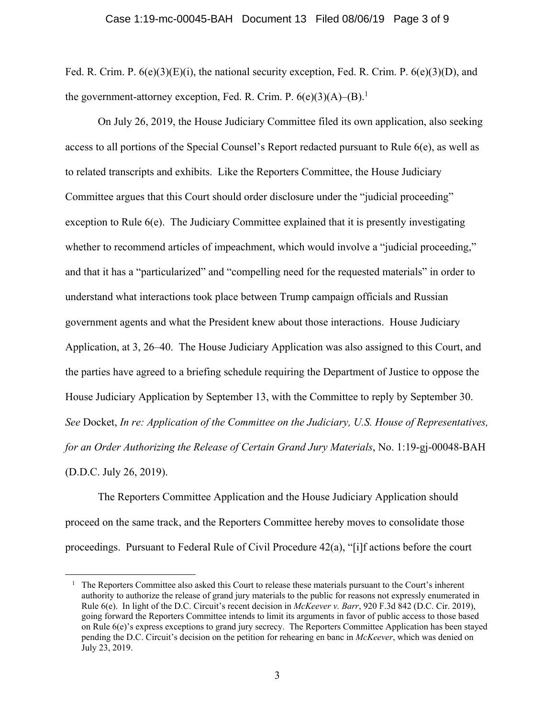### Case 1:19-mc-00045-BAH Document 13 Filed 08/06/19 Page 3 of 9

Fed. R. Crim. P.  $6(e)(3)(E)(i)$ , the national security exception, Fed. R. Crim. P.  $6(e)(3)(D)$ , and the government-attorney exception, Fed. R. Crim. P.  $6(e)(3)(A)$ – $(B)$ .<sup>1</sup>

On July 26, 2019, the House Judiciary Committee filed its own application, also seeking access to all portions of the Special Counsel's Report redacted pursuant to Rule 6(e), as well as to related transcripts and exhibits. Like the Reporters Committee, the House Judiciary Committee argues that this Court should order disclosure under the "judicial proceeding" exception to Rule  $6(e)$ . The Judiciary Committee explained that it is presently investigating whether to recommend articles of impeachment, which would involve a "judicial proceeding," and that it has a "particularized" and "compelling need for the requested materials" in order to understand what interactions took place between Trump campaign officials and Russian government agents and what the President knew about those interactions. House Judiciary Application, at 3, 26–40. The House Judiciary Application was also assigned to this Court, and the parties have agreed to a briefing schedule requiring the Department of Justice to oppose the House Judiciary Application by September 13, with the Committee to reply by September 30. *See* Docket, *In re: Application of the Committee on the Judiciary, U.S. House of Representatives, for an Order Authorizing the Release of Certain Grand Jury Materials*, No. 1:19-gj-00048-BAH (D.D.C. July 26, 2019).

 The Reporters Committee Application and the House Judiciary Application should proceed on the same track, and the Reporters Committee hereby moves to consolidate those proceedings. Pursuant to Federal Rule of Civil Procedure 42(a), "[i]f actions before the court

 $\overline{a}$ 

<sup>&</sup>lt;sup>1</sup> The Reporters Committee also asked this Court to release these materials pursuant to the Court's inherent authority to authorize the release of grand jury materials to the public for reasons not expressly enumerated in Rule 6(e). In light of the D.C. Circuit's recent decision in *McKeever v. Barr*, 920 F.3d 842 (D.C. Cir. 2019), going forward the Reporters Committee intends to limit its arguments in favor of public access to those based on Rule 6(e)'s express exceptions to grand jury secrecy. The Reporters Committee Application has been stayed pending the D.C. Circuit's decision on the petition for rehearing en banc in *McKeever*, which was denied on July 23, 2019.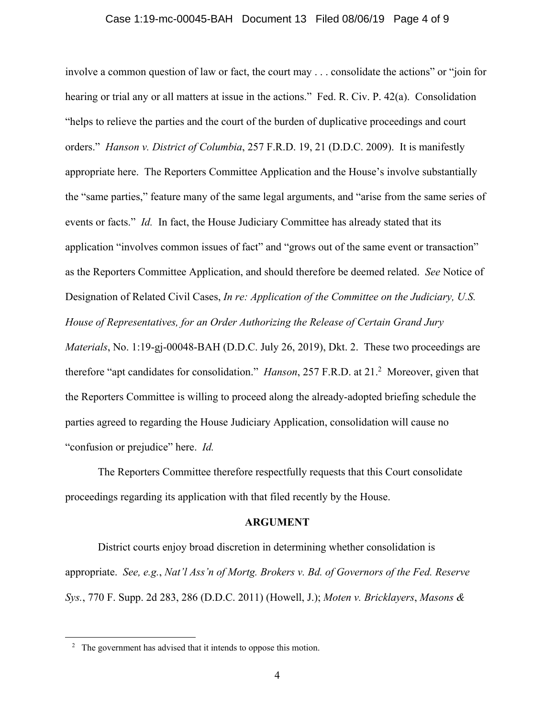## Case 1:19-mc-00045-BAH Document 13 Filed 08/06/19 Page 4 of 9

involve a common question of law or fact, the court may . . . consolidate the actions" or "join for hearing or trial any or all matters at issue in the actions." Fed. R. Civ. P. 42(a). Consolidation "helps to relieve the parties and the court of the burden of duplicative proceedings and court orders." *Hanson v. District of Columbia*, 257 F.R.D. 19, 21 (D.D.C. 2009). It is manifestly appropriate here. The Reporters Committee Application and the House's involve substantially the "same parties," feature many of the same legal arguments, and "arise from the same series of events or facts." *Id.* In fact, the House Judiciary Committee has already stated that its application "involves common issues of fact" and "grows out of the same event or transaction" as the Reporters Committee Application, and should therefore be deemed related. *See* Notice of Designation of Related Civil Cases, *In re: Application of the Committee on the Judiciary, U.S. House of Representatives, for an Order Authorizing the Release of Certain Grand Jury Materials*, No. 1:19-gj-00048-BAH (D.D.C. July 26, 2019), Dkt. 2. These two proceedings are therefore "apt candidates for consolidation." *Hanson*, 257 F.R.D. at 21.<sup>2</sup> Moreover, given that the Reporters Committee is willing to proceed along the already-adopted briefing schedule the parties agreed to regarding the House Judiciary Application, consolidation will cause no "confusion or prejudice" here. *Id.* 

The Reporters Committee therefore respectfully requests that this Court consolidate proceedings regarding its application with that filed recently by the House.

#### **ARGUMENT**

 District courts enjoy broad discretion in determining whether consolidation is appropriate. *See, e.g.*, *Nat'l Ass'n of Mortg. Brokers v. Bd. of Governors of the Fed. Reserve Sys.*, 770 F. Supp. 2d 283, 286 (D.D.C. 2011) (Howell, J.); *Moten v. Bricklayers*, *Masons &* 

 $\overline{a}$ 

<sup>&</sup>lt;sup>2</sup> The government has advised that it intends to oppose this motion.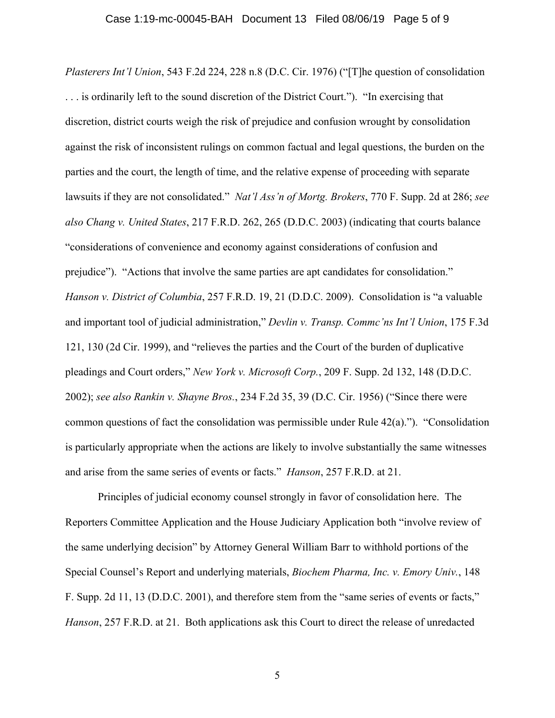*Plasterers Int'l Union*, 543 F.2d 224, 228 n.8 (D.C. Cir. 1976) ("[T]he question of consolidation . . . is ordinarily left to the sound discretion of the District Court."). "In exercising that discretion, district courts weigh the risk of prejudice and confusion wrought by consolidation against the risk of inconsistent rulings on common factual and legal questions, the burden on the parties and the court, the length of time, and the relative expense of proceeding with separate lawsuits if they are not consolidated." *Nat'l Ass'n of Mortg. Brokers*, 770 F. Supp. 2d at 286; *see also Chang v. United States*, 217 F.R.D. 262, 265 (D.D.C. 2003) (indicating that courts balance "considerations of convenience and economy against considerations of confusion and prejudice"). "Actions that involve the same parties are apt candidates for consolidation." *Hanson v. District of Columbia*, 257 F.R.D. 19, 21 (D.D.C. 2009). Consolidation is "a valuable and important tool of judicial administration," *Devlin v. Transp. Commc'ns Int'l Union*, 175 F.3d 121, 130 (2d Cir. 1999), and "relieves the parties and the Court of the burden of duplicative pleadings and Court orders," *New York v. Microsoft Corp.*, 209 F. Supp. 2d 132, 148 (D.D.C. 2002); *see also Rankin v. Shayne Bros.*, 234 F.2d 35, 39 (D.C. Cir. 1956) ("Since there were common questions of fact the consolidation was permissible under Rule 42(a).")."Consolidation is particularly appropriate when the actions are likely to involve substantially the same witnesses and arise from the same series of events or facts." *Hanson*, 257 F.R.D. at 21.

 Principles of judicial economy counsel strongly in favor of consolidation here. The Reporters Committee Application and the House Judiciary Application both "involve review of the same underlying decision" by Attorney General William Barr to withhold portions of the Special Counsel's Report and underlying materials, *Biochem Pharma, Inc. v. Emory Univ.*, 148 F. Supp. 2d 11, 13 (D.D.C. 2001), and therefore stem from the "same series of events or facts," *Hanson*, 257 F.R.D. at 21. Both applications ask this Court to direct the release of unredacted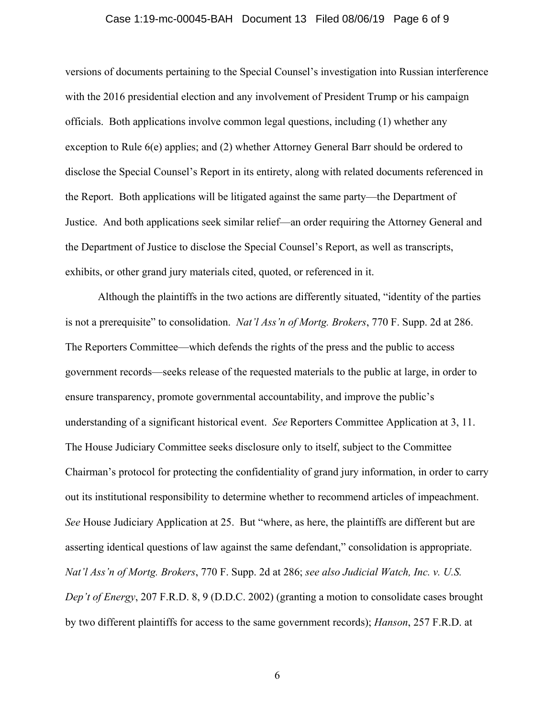## Case 1:19-mc-00045-BAH Document 13 Filed 08/06/19 Page 6 of 9

versions of documents pertaining to the Special Counsel's investigation into Russian interference with the 2016 presidential election and any involvement of President Trump or his campaign officials. Both applications involve common legal questions, including (1) whether any exception to Rule 6(e) applies; and (2) whether Attorney General Barr should be ordered to disclose the Special Counsel's Report in its entirety, along with related documents referenced in the Report. Both applications will be litigated against the same party—the Department of Justice. And both applications seek similar relief—an order requiring the Attorney General and the Department of Justice to disclose the Special Counsel's Report, as well as transcripts, exhibits, or other grand jury materials cited, quoted, or referenced in it.

Although the plaintiffs in the two actions are differently situated, "identity of the parties is not a prerequisite" to consolidation. *Nat'l Ass'n of Mortg. Brokers*, 770 F. Supp. 2d at 286. The Reporters Committee—which defends the rights of the press and the public to access government records—seeks release of the requested materials to the public at large, in order to ensure transparency, promote governmental accountability, and improve the public's understanding of a significant historical event. *See* Reporters Committee Application at 3, 11. The House Judiciary Committee seeks disclosure only to itself, subject to the Committee Chairman's protocol for protecting the confidentiality of grand jury information, in order to carry out its institutional responsibility to determine whether to recommend articles of impeachment. *See* House Judiciary Application at 25. But "where, as here, the plaintiffs are different but are asserting identical questions of law against the same defendant," consolidation is appropriate. *Nat'l Ass'n of Mortg. Brokers*, 770 F. Supp. 2d at 286; *see also Judicial Watch, Inc. v. U.S. Dep't of Energy*, 207 F.R.D. 8, 9 (D.D.C. 2002) (granting a motion to consolidate cases brought by two different plaintiffs for access to the same government records); *Hanson*, 257 F.R.D. at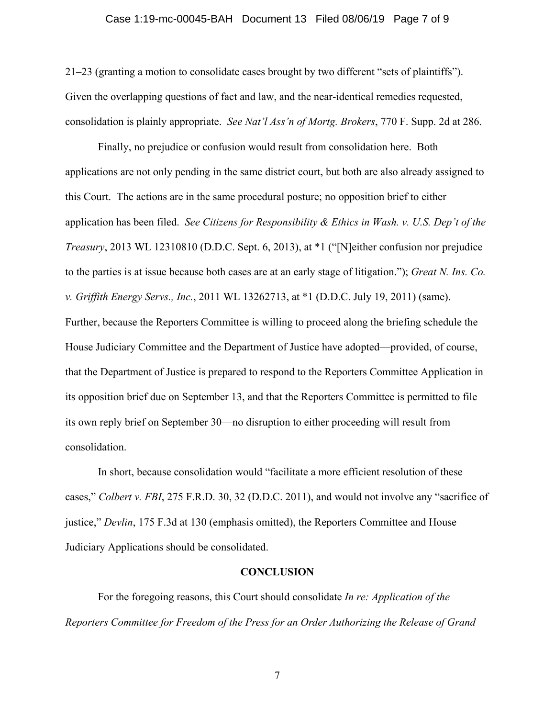## Case 1:19-mc-00045-BAH Document 13 Filed 08/06/19 Page 7 of 9

21–23 (granting a motion to consolidate cases brought by two different "sets of plaintiffs"). Given the overlapping questions of fact and law, and the near-identical remedies requested, consolidation is plainly appropriate. *See Nat'l Ass'n of Mortg. Brokers*, 770 F. Supp. 2d at 286.

 Finally, no prejudice or confusion would result from consolidation here. Both applications are not only pending in the same district court, but both are also already assigned to this Court. The actions are in the same procedural posture; no opposition brief to either application has been filed. *See Citizens for Responsibility & Ethics in Wash. v. U.S. Dep't of the Treasury*, 2013 WL 12310810 (D.D.C. Sept. 6, 2013), at \*1 ("[N]either confusion nor prejudice to the parties is at issue because both cases are at an early stage of litigation."); *Great N. Ins. Co. v. Griffith Energy Servs., Inc.*, 2011 WL 13262713, at \*1 (D.D.C. July 19, 2011) (same). Further, because the Reporters Committee is willing to proceed along the briefing schedule the House Judiciary Committee and the Department of Justice have adopted—provided, of course, that the Department of Justice is prepared to respond to the Reporters Committee Application in its opposition brief due on September 13, and that the Reporters Committee is permitted to file its own reply brief on September 30—no disruption to either proceeding will result from consolidation.

In short, because consolidation would "facilitate a more efficient resolution of these cases," *Colbert v. FBI*, 275 F.R.D. 30, 32 (D.D.C. 2011), and would not involve any "sacrifice of justice," *Devlin*, 175 F.3d at 130 (emphasis omitted), the Reporters Committee and House Judiciary Applications should be consolidated.

#### **CONCLUSION**

 For the foregoing reasons, this Court should consolidate *In re: Application of the Reporters Committee for Freedom of the Press for an Order Authorizing the Release of Grand*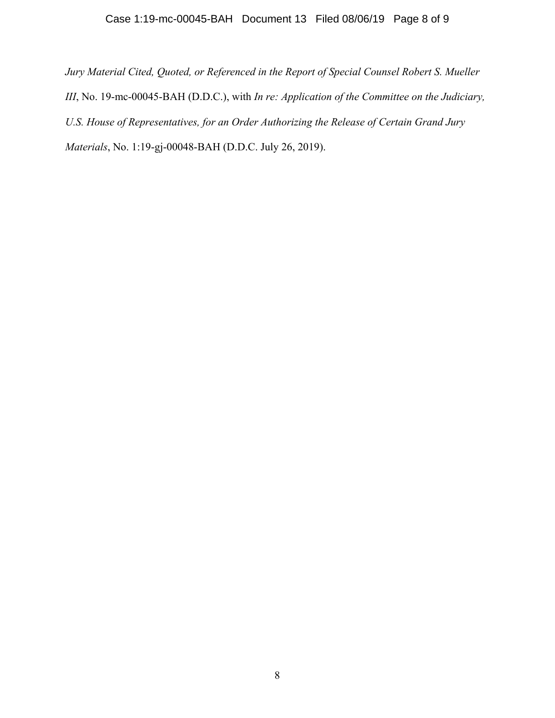*Jury Material Cited, Quoted, or Referenced in the Report of Special Counsel Robert S. Mueller III*, No. 19-mc-00045-BAH (D.D.C.), with *In re: Application of the Committee on the Judiciary, U.S. House of Representatives, for an Order Authorizing the Release of Certain Grand Jury Materials*, No. 1:19-gj-00048-BAH (D.D.C. July 26, 2019).